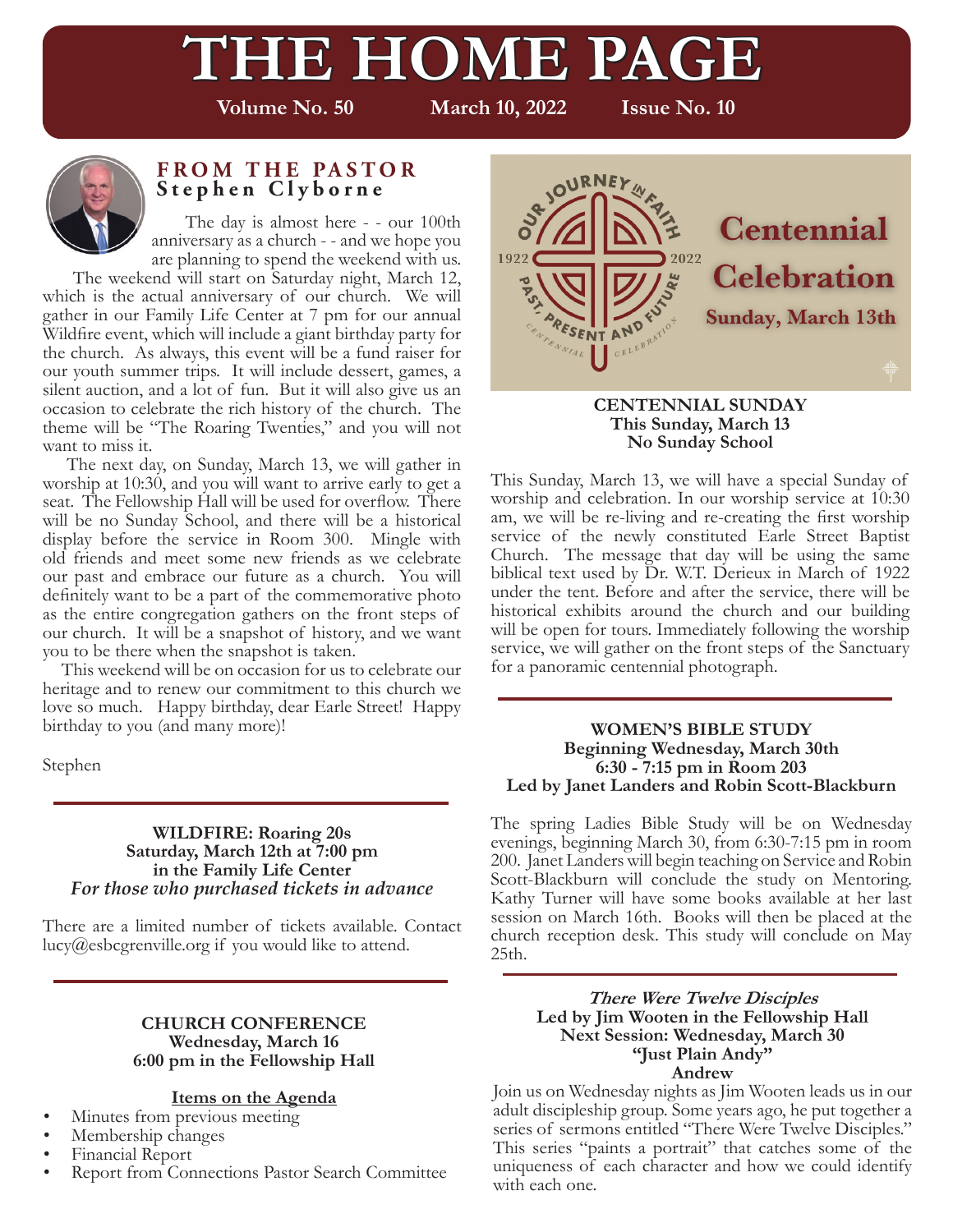# **THE HOME PAGE**

**Volume No. 50 March 10, 2022 Issue No. 10**



### **FROM THE PASTOR Stephen Clyborne**

 The day is almost here - - our 100th anniversary as a church - - and we hope you are planning to spend the weekend with us.

 The weekend will start on Saturday night, March 12, which is the actual anniversary of our church. We will gather in our Family Life Center at 7 pm for our annual Wildfire event, which will include a giant birthday party for the church. As always, this event will be a fund raiser for our youth summer trips. It will include dessert, games, a silent auction, and a lot of fun. But it will also give us an occasion to celebrate the rich history of the church. The theme will be "The Roaring Twenties," and you will not want to miss it.

 The next day, on Sunday, March 13, we will gather in worship at 10:30, and you will want to arrive early to get a seat. The Fellowship Hall will be used for overflow. There will be no Sunday School, and there will be a historical display before the service in Room 300. Mingle with old friends and meet some new friends as we celebrate our past and embrace our future as a church. You will definitely want to be a part of the commemorative photo as the entire congregation gathers on the front steps of our church. It will be a snapshot of history, and we want you to be there when the snapshot is taken.

 This weekend will be on occasion for us to celebrate our heritage and to renew our commitment to this church we love so much. Happy birthday, dear Earle Street! Happy birthday to you (and many more)!

Stephen

### **WILDFIRE: Roaring 20s Saturday, March 12th at 7:00 pm in the Family Life Center** *For those who purchased tickets in advance*

There are a limited number of tickets available. Contact lucy@esbcgrenville.org if you would like to attend.

### **CHURCH CONFERENCE Wednesday, March 16 6:00 pm in the Fellowship Hall**

### **Items on the Agenda**

- Minutes from previous meeting
- Membership changes
- Financial Report<br>• Report from Cor
- Report from Connections Pastor Search Committee



#### **CENTENNIAL SUNDAY This Sunday, March 13 No Sunday School**

This Sunday, March 13, we will have a special Sunday of worship and celebration. In our worship service at 10:30 am, we will be re-living and re-creating the first worship service of the newly constituted Earle Street Baptist Church. The message that day will be using the same biblical text used by Dr. W.T. Derieux in March of 1922 under the tent. Before and after the service, there will be historical exhibits around the church and our building will be open for tours. Immediately following the worship service, we will gather on the front steps of the Sanctuary for a panoramic centennial photograph.

#### **WOMEN'S BIBLE STUDY Beginning Wednesday, March 30th 6:30 - 7:15 pm in Room 203 Led by Janet Landers and Robin Scott-Blackburn**

The spring Ladies Bible Study will be on Wednesday evenings, beginning March 30, from 6:30-7:15 pm in room 200. Janet Landers will begin teaching on Service and Robin Scott-Blackburn will conclude the study on Mentoring. Kathy Turner will have some books available at her last session on March 16th. Books will then be placed at the church reception desk. This study will conclude on May 25th.

### **There Were Twelve Disciples Led by Jim Wooten in the Fellowship Hall Next Session: Wednesday, March 30 "Just Plain Andy" Andrew**

Join us on Wednesday nights as Jim Wooten leads us in our adult discipleship group. Some years ago, he put together a series of sermons entitled "There Were Twelve Disciples." This series "paints a portrait" that catches some of the uniqueness of each character and how we could identify with each one.